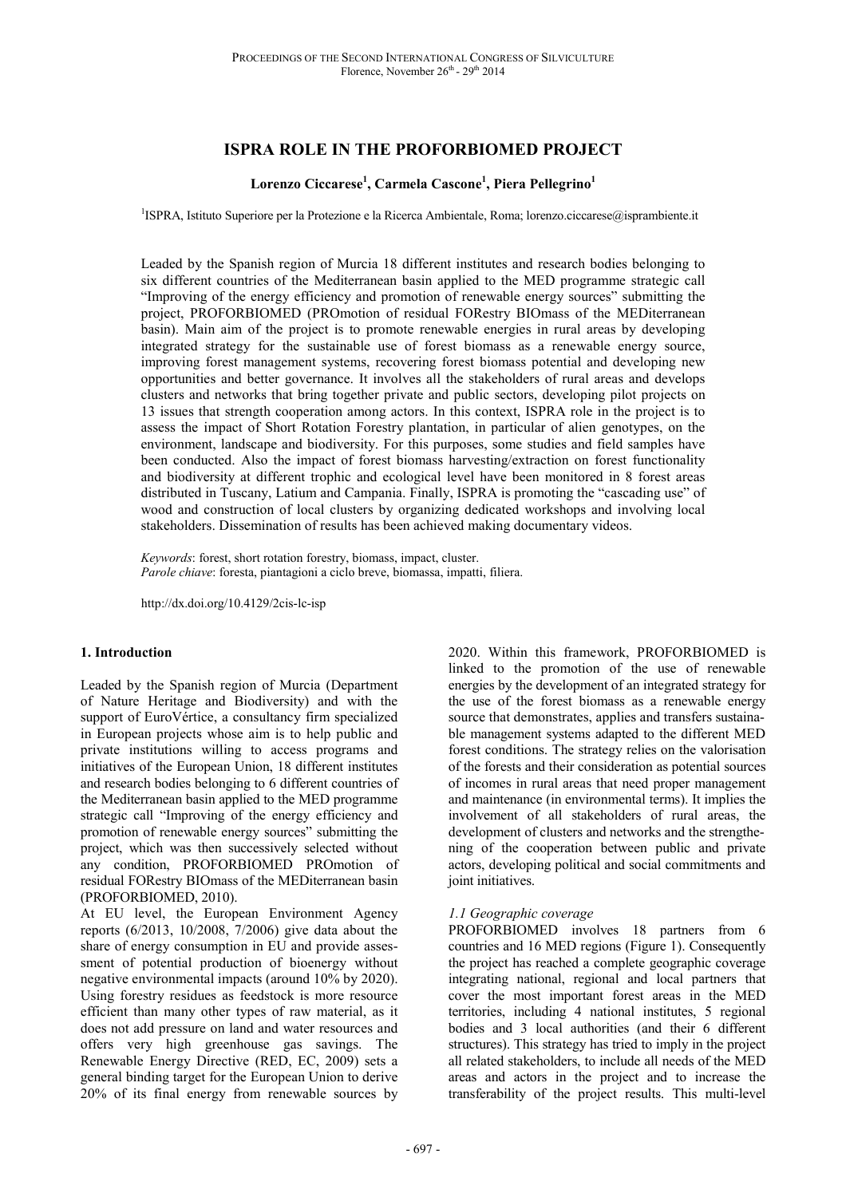# **ISPRA ROLE IN THE PROFORBIOMED PROJECT**

# **Lorenzo Ciccarese<sup>1</sup> , Carmela Cascone<sup>1</sup> , Piera Pellegrino<sup>1</sup>**

<sup>1</sup>ISPRA, Istituto Superiore per la Protezione e la Ricerca Ambientale, Roma; lorenzo.ciccarese@isprambiente.it

Leaded by the Spanish region of Murcia 18 different institutes and research bodies belonging to six different countries of the Mediterranean basin applied to the MED programme strategic call "Improving of the energy efficiency and promotion of renewable energy sources" submitting the project, PROFORBIOMED (PROmotion of residual FORestry BIOmass of the MEDiterranean basin). Main aim of the project is to promote renewable energies in rural areas by developing integrated strategy for the sustainable use of forest biomass as a renewable energy source, improving forest management systems, recovering forest biomass potential and developing new opportunities and better governance. It involves all the stakeholders of rural areas and develops clusters and networks that bring together private and public sectors, developing pilot projects on 13 issues that strength cooperation among actors. In this context, ISPRA role in the project is to assess the impact of Short Rotation Forestry plantation, in particular of alien genotypes, on the environment, landscape and biodiversity. For this purposes, some studies and field samples have been conducted. Also the impact of forest biomass harvesting/extraction on forest functionality and biodiversity at different trophic and ecological level have been monitored in 8 forest areas distributed in Tuscany, Latium and Campania. Finally, ISPRA is promoting the "cascading use" of wood and construction of local clusters by organizing dedicated workshops and involving local stakeholders. Dissemination of results has been achieved making documentary videos.

*Keywords*: forest, short rotation forestry, biomass, impact, cluster. *Parole chiave*: foresta, piantagioni a ciclo breve, biomassa, impatti, filiera.

http://dx.doi.org/10.4129/2cis-lc-isp

### **1. Introduction**

Leaded by the Spanish region of Murcia (Department of Nature Heritage and Biodiversity) and with the support of EuroVértice, a consultancy firm specialized in European projects whose aim is to help public and private institutions willing to access programs and initiatives of the European Union, 18 different institutes and research bodies belonging to 6 different countries of the Mediterranean basin applied to the MED programme strategic call "Improving of the energy efficiency and promotion of renewable energy sources" submitting the project, which was then successively selected without any condition, PROFORBIOMED PROmotion of residual FORestry BIOmass of the MEDiterranean basin (PROFORBIOMED, 2010).

At EU level, the European Environment Agency reports (6/2013, 10/2008, 7/2006) give data about the share of energy consumption in EU and provide assessment of potential production of bioenergy without negative environmental impacts (around 10% by 2020). Using forestry residues as feedstock is more resource efficient than many other types of raw material, as it does not add pressure on land and water resources and offers very high greenhouse gas savings. The Renewable Energy Directive (RED, EC, 2009) sets a general binding target for the European Union to derive 20% of its final energy from renewable sources by

2020. Within this framework, PROFORBIOMED is linked to the promotion of the use of renewable energies by the development of an integrated strategy for the use of the forest biomass as a renewable energy source that demonstrates, applies and transfers sustainable management systems adapted to the different MED forest conditions. The strategy relies on the valorisation of the forests and their consideration as potential sources of incomes in rural areas that need proper management and maintenance (in environmental terms). It implies the involvement of all stakeholders of rural areas, the development of clusters and networks and the strengthening of the cooperation between public and private actors, developing political and social commitments and joint initiatives.

### *1.1 Geographic coverage*

PROFORBIOMED involves 18 partners from 6 countries and 16 MED regions (Figure 1). Consequently the project has reached a complete geographic coverage integrating national, regional and local partners that cover the most important forest areas in the MED territories, including 4 national institutes, 5 regional bodies and 3 local authorities (and their 6 different structures). This strategy has tried to imply in the project all related stakeholders, to include all needs of the MED areas and actors in the project and to increase the transferability of the project results. This multi-level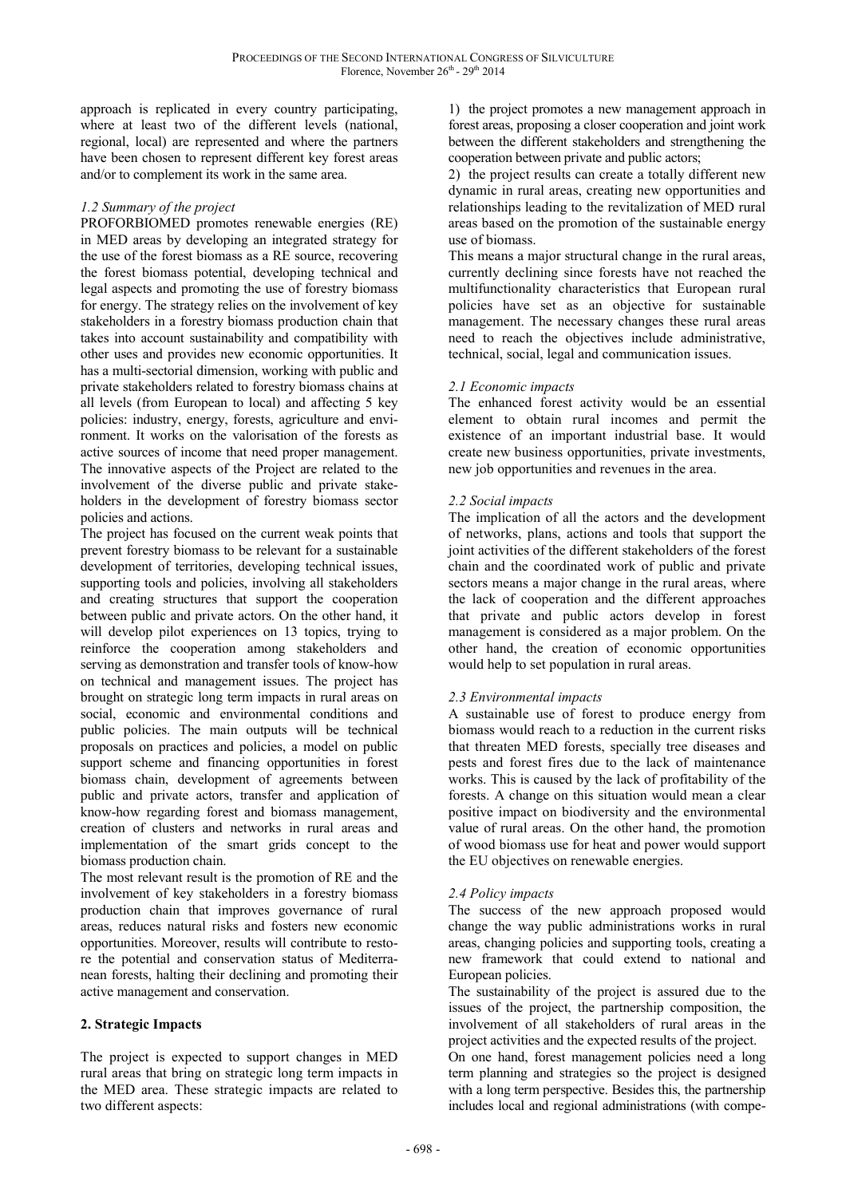approach is replicated in every country participating, where at least two of the different levels (national, regional, local) are represented and where the partners have been chosen to represent different key forest areas and/or to complement its work in the same area.

### *1.2 Summary of the project*

PROFORBIOMED promotes renewable energies (RE) in MED areas by developing an integrated strategy for the use of the forest biomass as a RE source, recovering the forest biomass potential, developing technical and legal aspects and promoting the use of forestry biomass for energy. The strategy relies on the involvement of key stakeholders in a forestry biomass production chain that takes into account sustainability and compatibility with other uses and provides new economic opportunities. It has a multi-sectorial dimension, working with public and private stakeholders related to forestry biomass chains at all levels (from European to local) and affecting 5 key policies: industry, energy, forests, agriculture and environment. It works on the valorisation of the forests as active sources of income that need proper management. The innovative aspects of the Project are related to the involvement of the diverse public and private stakeholders in the development of forestry biomass sector policies and actions.

The project has focused on the current weak points that prevent forestry biomass to be relevant for a sustainable development of territories, developing technical issues, supporting tools and policies, involving all stakeholders and creating structures that support the cooperation between public and private actors. On the other hand, it will develop pilot experiences on 13 topics, trying to reinforce the cooperation among stakeholders and serving as demonstration and transfer tools of know-how on technical and management issues. The project has brought on strategic long term impacts in rural areas on social, economic and environmental conditions and public policies. The main outputs will be technical proposals on practices and policies, a model on public support scheme and financing opportunities in forest biomass chain, development of agreements between public and private actors, transfer and application of know-how regarding forest and biomass management, creation of clusters and networks in rural areas and implementation of the smart grids concept to the biomass production chain.

The most relevant result is the promotion of RE and the involvement of key stakeholders in a forestry biomass production chain that improves governance of rural areas, reduces natural risks and fosters new economic opportunities. Moreover, results will contribute to restore the potential and conservation status of Mediterranean forests, halting their declining and promoting their active management and conservation.

# **2. Strategic Impacts**

The project is expected to support changes in MED rural areas that bring on strategic long term impacts in the MED area. These strategic impacts are related to two different aspects:

1) the project promotes a new management approach in forest areas, proposing a closer cooperation and joint work between the different stakeholders and strengthening the cooperation between private and public actors;

2) the project results can create a totally different new dynamic in rural areas, creating new opportunities and relationships leading to the revitalization of MED rural areas based on the promotion of the sustainable energy use of biomass.

This means a major structural change in the rural areas, currently declining since forests have not reached the multifunctionality characteristics that European rural policies have set as an objective for sustainable management. The necessary changes these rural areas need to reach the objectives include administrative, technical, social, legal and communication issues.

### *2.1 Economic impacts*

The enhanced forest activity would be an essential element to obtain rural incomes and permit the existence of an important industrial base. It would create new business opportunities, private investments, new job opportunities and revenues in the area.

### *2.2 Social impacts*

The implication of all the actors and the development of networks, plans, actions and tools that support the joint activities of the different stakeholders of the forest chain and the coordinated work of public and private sectors means a major change in the rural areas, where the lack of cooperation and the different approaches that private and public actors develop in forest management is considered as a major problem. On the other hand, the creation of economic opportunities would help to set population in rural areas.

# *2.3 Environmental impacts*

A sustainable use of forest to produce energy from biomass would reach to a reduction in the current risks that threaten MED forests, specially tree diseases and pests and forest fires due to the lack of maintenance works. This is caused by the lack of profitability of the forests. A change on this situation would mean a clear positive impact on biodiversity and the environmental value of rural areas. On the other hand, the promotion of wood biomass use for heat and power would support the EU objectives on renewable energies.

### *2.4 Policy impacts*

The success of the new approach proposed would change the way public administrations works in rural areas, changing policies and supporting tools, creating a new framework that could extend to national and European policies.

The sustainability of the project is assured due to the issues of the project, the partnership composition, the involvement of all stakeholders of rural areas in the project activities and the expected results of the project.

On one hand, forest management policies need a long term planning and strategies so the project is designed with a long term perspective. Besides this, the partnership includes local and regional administrations (with compe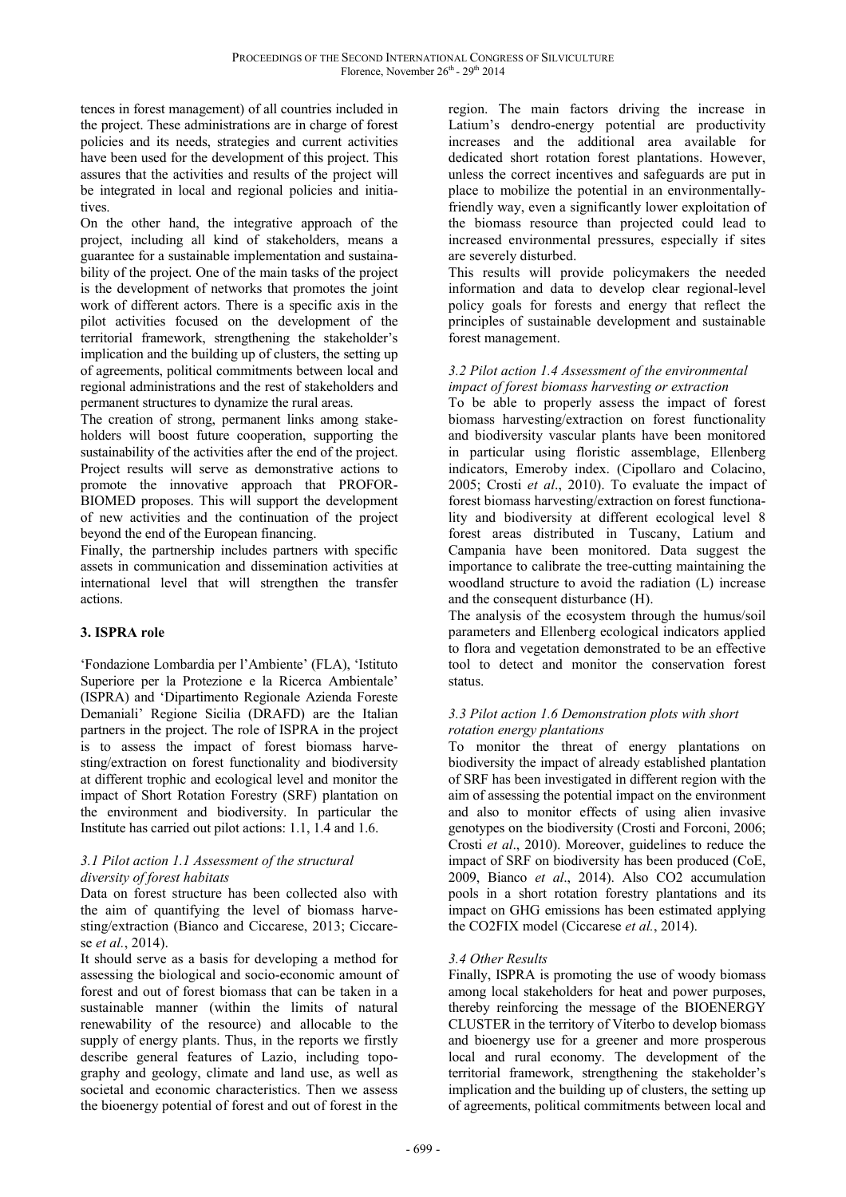tences in forest management) of all countries included in the project. These administrations are in charge of forest policies and its needs, strategies and current activities have been used for the development of this project. This assures that the activities and results of the project will be integrated in local and regional policies and initiatives.

On the other hand, the integrative approach of the project, including all kind of stakeholders, means a guarantee for a sustainable implementation and sustainability of the project. One of the main tasks of the project is the development of networks that promotes the joint work of different actors. There is a specific axis in the pilot activities focused on the development of the territorial framework, strengthening the stakeholder's implication and the building up of clusters, the setting up of agreements, political commitments between local and regional administrations and the rest of stakeholders and permanent structures to dynamize the rural areas.

The creation of strong, permanent links among stakeholders will boost future cooperation, supporting the sustainability of the activities after the end of the project. Project results will serve as demonstrative actions to promote the innovative approach that PROFOR-BIOMED proposes. This will support the development of new activities and the continuation of the project beyond the end of the European financing.

Finally, the partnership includes partners with specific assets in communication and dissemination activities at international level that will strengthen the transfer actions.

# **3. ISPRA role**

'Fondazione Lombardia per l'Ambiente' (FLA), 'Istituto Superiore per la Protezione e la Ricerca Ambientale' (ISPRA) and 'Dipartimento Regionale Azienda Foreste Demaniali' Regione Sicilia (DRAFD) are the Italian partners in the project. The role of ISPRA in the project is to assess the impact of forest biomass harvesting/extraction on forest functionality and biodiversity at different trophic and ecological level and monitor the impact of Short Rotation Forestry (SRF) plantation on the environment and biodiversity. In particular the Institute has carried out pilot actions: 1.1, 1.4 and 1.6.

### *3.1 Pilot action 1.1 Assessment of the structural diversity of forest habitats*

Data on forest structure has been collected also with the aim of quantifying the level of biomass harvesting/extraction (Bianco and Ciccarese, 2013; Ciccarese *et al.*, 2014).

It should serve as a basis for developing a method for assessing the biological and socio-economic amount of forest and out of forest biomass that can be taken in a sustainable manner (within the limits of natural renewability of the resource) and allocable to the supply of energy plants. Thus, in the reports we firstly describe general features of Lazio, including topography and geology, climate and land use, as well as societal and economic characteristics. Then we assess the bioenergy potential of forest and out of forest in the

region. The main factors driving the increase in Latium's dendro-energy potential are productivity increases and the additional area available for dedicated short rotation forest plantations. However, unless the correct incentives and safeguards are put in place to mobilize the potential in an environmentallyfriendly way, even a significantly lower exploitation of the biomass resource than projected could lead to increased environmental pressures, especially if sites are severely disturbed.

This results will provide policymakers the needed information and data to develop clear regional-level policy goals for forests and energy that reflect the principles of sustainable development and sustainable forest management.

# *3.2 Pilot action 1.4 Assessment of the environmental impact of forest biomass harvesting or extraction*

To be able to properly assess the impact of forest biomass harvesting/extraction on forest functionality and biodiversity vascular plants have been monitored in particular using floristic assemblage, Ellenberg indicators, Emeroby index. (Cipollaro and Colacino, 2005; Crosti *et al*., 2010). To evaluate the impact of forest biomass harvesting/extraction on forest functionality and biodiversity at different ecological level 8 forest areas distributed in Tuscany, Latium and Campania have been monitored. Data suggest the importance to calibrate the tree-cutting maintaining the woodland structure to avoid the radiation (L) increase and the consequent disturbance (H).

The analysis of the ecosystem through the humus/soil parameters and Ellenberg ecological indicators applied to flora and vegetation demonstrated to be an effective tool to detect and monitor the conservation forest status.

### *3.3 Pilot action 1.6 Demonstration plots with short rotation energy plantations*

To monitor the threat of energy plantations on biodiversity the impact of already established plantation of SRF has been investigated in different region with the aim of assessing the potential impact on the environment and also to monitor effects of using alien invasive genotypes on the biodiversity (Crosti and Forconi, 2006; Crosti *et al*., 2010). Moreover, guidelines to reduce the impact of SRF on biodiversity has been produced (CoE, 2009, Bianco *et al*., 2014). Also CO2 accumulation pools in a short rotation forestry plantations and its impact on GHG emissions has been estimated applying the CO2FIX model (Ciccarese *et al.*, 2014).

# *3.4 Other Results*

Finally, ISPRA is promoting the use of woody biomass among local stakeholders for heat and power purposes, thereby reinforcing the message of the BIOENERGY CLUSTER in the territory of Viterbo to develop biomass and bioenergy use for a greener and more prosperous local and rural economy. The development of the territorial framework, strengthening the stakeholder's implication and the building up of clusters, the setting up of agreements, political commitments between local and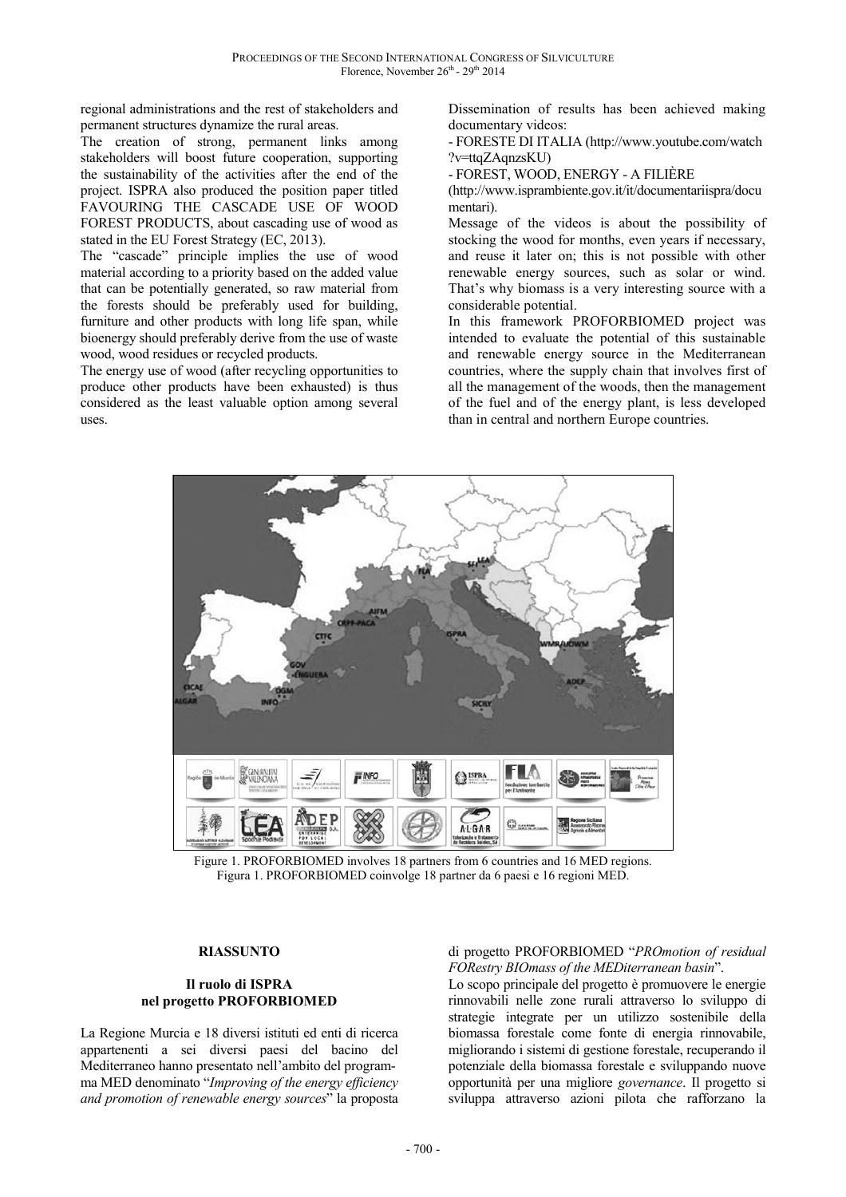regional administrations and the rest of stakeholders and permanent structures dynamize the rural areas.

The creation of strong, permanent links among stakeholders will boost future cooperation, supporting the sustainability of the activities after the end of the project. ISPRA also produced the position paper titled FAVOURING THE CASCADE USE OF WOOD FOREST PRODUCTS, about cascading use of wood as stated in the EU Forest Strategy (EC, 2013).

The "cascade" principle implies the use of wood material according to a priority based on the added value that can be potentially generated, so raw material from the forests should be preferably used for building, furniture and other products with long life span, while bioenergy should preferably derive from the use of waste wood, wood residues or recycled products.

The energy use of wood (after recycling opportunities to produce other products have been exhausted) is thus considered as the least valuable option among several uses.

Dissemination of results has been achieved making documentary videos:

- FORESTE DI ITALIA (http://www.youtube.com/watch ?v=ttqZAqnzsKU)

- FOREST, WOOD, ENERGY - A FILIÈRE

(http://www.isprambiente.gov.it/it/documentariispra/docu mentari).

Message of the videos is about the possibility of stocking the wood for months, even years if necessary, and reuse it later on; this is not possible with other renewable energy sources, such as solar or wind. That's why biomass is a very interesting source with a considerable potential.

In this framework PROFORBIOMED project was intended to evaluate the potential of this sustainable and renewable energy source in the Mediterranean countries, where the supply chain that involves first of all the management of the woods, then the management of the fuel and of the energy plant, is less developed than in central and northern Europe countries.



Figure 1. PROFORBIOMED involves 18 partners from 6 countries and 16 MED regions. Figura 1. PROFORBIOMED coinvolge 18 partner da 6 paesi e 16 regioni MED.

#### **RIASSUNTO**

### **Il ruolo di ISPRA nel progetto PROFORBIOMED**

La Regione Murcia e 18 diversi istituti ed enti di ricerca appartenenti a sei diversi paesi del bacino del Mediterraneo hanno presentato nell'ambito del programma MED denominato "*Improving of the energy efficiency and promotion of renewable energy sources*" la proposta

### di progetto PROFORBIOMED "*PROmotion of residual FORestry BIOmass of the MEDiterranean basin*".

Lo scopo principale del progetto è promuovere le energie rinnovabili nelle zone rurali attraverso lo sviluppo di strategie integrate per un utilizzo sostenibile della biomassa forestale come fonte di energia rinnovabile, migliorando i sistemi di gestione forestale, recuperando il potenziale della biomassa forestale e sviluppando nuove opportunità per una migliore *governance*. Il progetto si sviluppa attraverso azioni pilota che rafforzano la